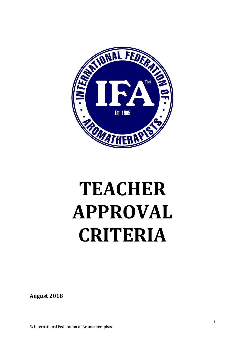

# **TEACHER APPROVAL CRITERIA**

**August 2018**

© International Federation of Aromatherapists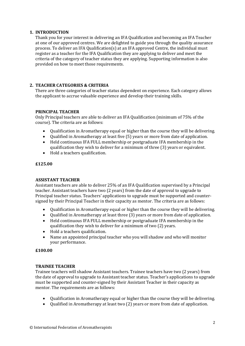# **1. INTRODUCTION**

Thank you for your interest in delivering an IFA Qualification and becoming an IFA Teacher at one of our approved centres. We are delighted to guide you through the quality assurance process. To deliver an IFA Qualification(s) at an IFA approved Centre, the individual must register as a teacher for the IFA Qualification they are applying to deliver and meet the criteria of the category of teacher status they are applying. Supporting information is also provided on how to meet those requirements.

# **2. TEACHER CATEGORIES & CRITERIA**

There are three categories of teacher status dependent on experience. Each category allows the applicant to accrue valuable experience and develop their training skills.

# **PRINCIPAL TEACHER**

Only Principal teachers are able to deliver an IFA Qualification (minimum of 75% of the course). The criteria are as follows:

- Qualification in Aromatherapy equal or higher than the course they will be delivering.
- Qualified in Aromatherapy at least five (5) years or more from date of application.
- Held continuous IFA FULL membership or postgraduate IFA membership in the qualification they wish to deliver for a minimum of three (3) years or equivalent.
- Hold a teachers qualification.

### **£125.00**

### **ASSISTANT TEACHER**

Assistant teachers are able to deliver 25% of an IFA Qualification supervised by a Principal teacher. Assistant teachers have two (2 years) from the date of approval to upgrade to Principal teacher status. Teachers' applications to upgrade must be supported and countersigned by their Principal Teacher in their capacity as mentor. The criteria are as follows:

- Qualification in Aromatherapy equal or higher than the course they will be delivering.
- Qualified in Aromatherapy at least three (3) years or more from date of application.
- Held continuous IFA FULL membership or postgraduate IFA membership in the qualification they wish to deliver for a minimum of two (2) years.
- Hold a teachers qualification.
- Name an appointed principal teacher who you will shadow and who will monitor your performance.

### **£100.00**

### **TRAINEE TEACHER**

Trainee teachers will shadow Assistant teachers. Trainee teachers have two (2 years) from the date of approval to upgrade to Assistant teacher status. Teacher's applications to upgrade must be supported and counter-signed by their Assistant Teacher in their capacity as mentor. The requirements are as follows:

- Qualification in Aromatherapy equal or higher than the course they will be delivering.
- Qualified in Aromatherapy at least two (2) years or more from date of application.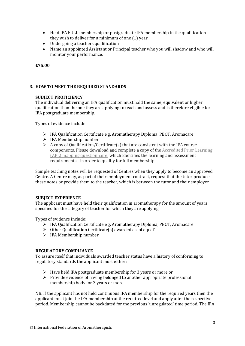- Held IFA FULL membership or postgraduate IFA membership in the qualification they wish to deliver for a minimum of one (1) year.
- Undergoing a teachers qualification
- Name an appointed Assistant or Principal teacher who you will shadow and who will monitor your performance.

**£75.00**

# **3. HOW TO MEET THE REQUIRED STANDARDS**

# **SUBJECT PROFICIENCY**

The individual delivering an IFA qualification must hold the same, equivalent or higher qualification than the one they are applying to teach and assess and is therefore eligible for IFA postgraduate membership.

Types of evidence include:

- ➢ IFA Qualification Certificate e.g. Aromatherapy Diploma, PEOT, Aromacare
- $\triangleright$  IFA Membership number
- $\triangleright$  A copy of Qualification/Certificate(s) that are consistent with the IFA course components. Please download and complete a copy of the [Accredited Prior Learning](https://ifaroma.org/application/files/9015/5957/5244/Aromatherapy_Diploma_APL_Questionnaire.pdf)  [\(APL\) mapping questionnaire,](https://ifaroma.org/application/files/9015/5957/5244/Aromatherapy_Diploma_APL_Questionnaire.pdf) which identifies the learning and assessment requirements - in order to qualify for full membership.

Sample teaching notes will be requested of Centres when they apply to become an approved Centre. A Centre may, as part of their employment contract, request that the tutor produce these notes or provide them to the teacher, which is between the tutor and their employer.

### **SUBJECT EXPERIENCE**

The applicant must have held their qualification in aromatherapy for the amount of years specified for the category of teacher for which they are applying.

Types of evidence include:

- ➢ IFA Qualification Certificate e.g. Aromatherapy Diploma, PEOT, Aromacare
- ➢ Other Qualification Certificate(s) awarded as 'of equal'
- ➢ IFA Membership number

# **REGULATORY COMPLIANCE**

To assure itself that individuals awarded teacher status have a history of conforming to regulatory standards the applicant must either:

- ➢ Have held IFA postgraduate membership for 3 years or more or
- ➢ Provide evidence of having belonged to another appropriate professional membership body for 3 years or more.

NB. If the applicant has not held continuous IFA membership for the required years then the applicant must join the IFA membership at the required level and apply after the respective period. Membership cannot be backdated for the previous 'unregulated' time period. The IFA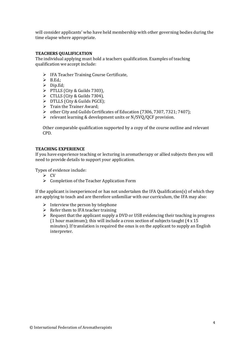will consider applicants' who have held membership with other governing bodies during the time elapse where appropriate.

# **TEACHERS QUALIFICATION**

The individual applying must hold a teachers qualification. Examples of teaching qualification we accept include:

- ➢ IFA Teacher Training Course Certificate,
- $\triangleright$  B.Ed.;
- ➢ Dip.Ed;
- ➢ PTLLS (City & Guilds 7303),
- $\triangleright$  CTLLS (City & Guilds 7304),
- $\triangleright$  DTLLS (City & Guilds PGCE);
- ➢ Train the Trainer Award;
- ➢ other City and Guilds Certificates of Education (7306, 7307, 7321; 7407};
- ➢ relevant learning & development units or N/SVQ/QCF provision.

Other comparable qualification supported by a copy of the course outline and relevant CPD.

### **TEACHING EXPERIENCE**

If you have experience teaching or lecturing in aromatherapy or allied subjects then you will need to provide details to support your application.

Types of evidence include:

- ➢ CV
- ➢ Completion of the Teacher Application Form

If the applicant is inexperienced or has not undertaken the IFA Qualification(s) of which they are applying to teach and are therefore unfamiliar with our curriculum, the IFA may also:

- $\triangleright$  Interview the person by telephone
- $\triangleright$  Refer them to IFA teacher training
- $\triangleright$  Request that the applicant supply a DVD or USB evidencing their teaching in progress (1 hour maximum); this will include a cross section of subjects taught (4 x 15 minutes). If translation is required the onus is on the applicant to supply an English interpreter.